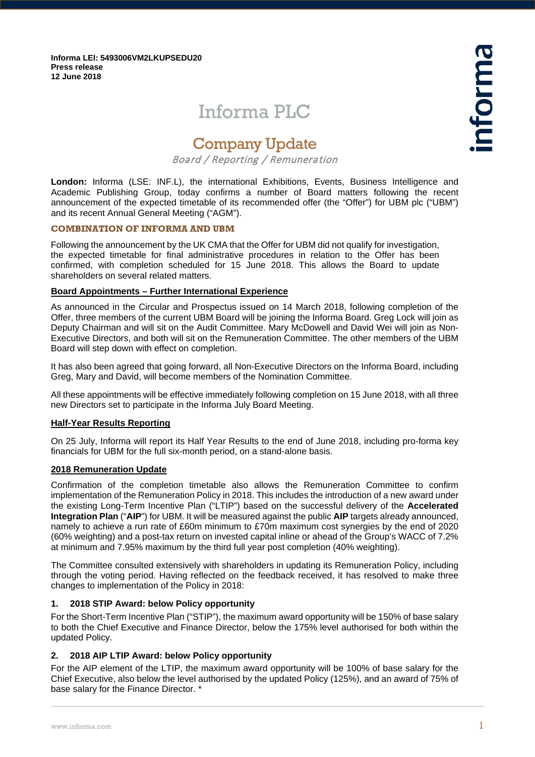**Informa LEI: 5493006VM2LKUPSEDU20 Press release 12 June 2018**

# Informa PLC

## Company Update

Board / Reporting / Remuneration

**London:** Informa (LSE: INF.L), the international Exhibitions, Events, Business Intelligence and Academic Publishing Group, today confirms a number of Board matters following the recent announcement of the expected timetable of its recommended offer (the "Offer") for UBM plc ("UBM") and its recent Annual General Meeting ("AGM").

## **COMBINATION OF INFORMA AND UBM**

Following the announcement by the UK CMA that the Offer for UBM did not qualify for investigation, the expected timetable for final administrative procedures in relation to the Offer has been confirmed, with completion scheduled for 15 June 2018. This allows the Board to update shareholders on several related matters.

## **Board Appointments – Further International Experience**

As announced in the Circular and Prospectus issued on 14 March 2018, following completion of the Offer, three members of the current UBM Board will be joining the Informa Board. Greg Lock will join as Deputy Chairman and will sit on the Audit Committee. Mary McDowell and David Wei will join as Non-Executive Directors, and both will sit on the Remuneration Committee. The other members of the UBM Board will step down with effect on completion.

It has also been agreed that going forward, all Non-Executive Directors on the Informa Board, including Greg, Mary and David, will become members of the Nomination Committee.

All these appointments will be effective immediately following completion on 15 June 2018, with all three new Directors set to participate in the Informa July Board Meeting.

#### **Half-Year Results Reporting**

On 25 July, Informa will report its Half Year Results to the end of June 2018, including pro-forma key financials for UBM for the full six-month period, on a stand-alone basis.

#### **2018 Remuneration Update**

Confirmation of the completion timetable also allows the Remuneration Committee to confirm implementation of the Remuneration Policy in 2018. This includes the introduction of a new award under the existing Long-Term Incentive Plan ("LTIP") based on the successful delivery of the **Accelerated Integration Plan** ("**AIP**") for UBM. It will be measured against the public **AIP** targets already announced, namely to achieve a run rate of £60m minimum to £70m maximum cost synergies by the end of 2020 (60% weighting) and a post-tax return on invested capital inline or ahead of the Group's WACC of 7.2% at minimum and 7.95% maximum by the third full year post completion (40% weighting).

The Committee consulted extensively with shareholders in updating its Remuneration Policy, including through the voting period. Having reflected on the feedback received, it has resolved to make three changes to implementation of the Policy in 2018:

#### **1. 2018 STIP Award: below Policy opportunity**

For the Short-Term Incentive Plan ("STIP"), the maximum award opportunity will be 150% of base salary to both the Chief Executive and Finance Director, below the 175% level authorised for both within the updated Policy.

## **2. 2018 AIP LTIP Award: below Policy opportunity**

For the AIP element of the LTIP, the maximum award opportunity will be 100% of base salary for the Chief Executive, also below the level authorised by the updated Policy (125%), and an award of 75% of base salary for the Finance Director. \*